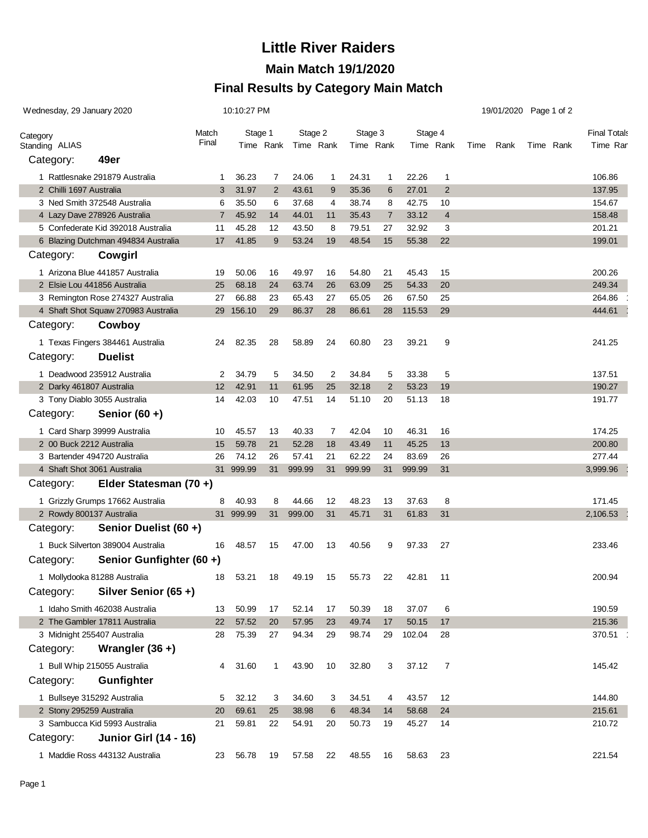# **Little River Raiders**

### **Main Match 19/1/2020**

### **Final Results by Category Main Match**

| Wednesday, 29 January 2020                                 | 10:10:27 PM      |           |                |           |    | 19/01/2020 Page 1 of 2 |                |           |                |      |      |  |                     |          |
|------------------------------------------------------------|------------------|-----------|----------------|-----------|----|------------------------|----------------|-----------|----------------|------|------|--|---------------------|----------|
|                                                            | Match<br>Stage 1 |           |                | Stage 2   |    | Stage 3                |                | Stage 4   |                |      |      |  | <b>Final Totals</b> |          |
| Category<br>Standing ALIAS                                 | Final            |           | Time Rank      | Time Rank |    | Time Rank              |                | Time Rank |                | Time | Rank |  | Time Rank           | Time Ran |
| 49er<br>Category:                                          |                  |           |                |           |    |                        |                |           |                |      |      |  |                     |          |
| 1 Rattlesnake 291879 Australia                             | -1               | 36.23     | 7              | 24.06     | 1  | 24.31                  | -1             | 22.26     | 1              |      |      |  |                     | 106.86   |
| 2 Chilli 1697 Australia                                    | 3                | 31.97     | $\overline{2}$ | 43.61     | 9  | 35.36                  | 6              | 27.01     | 2              |      |      |  |                     | 137.95   |
| 3 Ned Smith 372548 Australia                               | 6                | 35.50     | 6              | 37.68     | 4  | 38.74                  | 8              | 42.75     | 10             |      |      |  |                     | 154.67   |
| 4 Lazy Dave 278926 Australia                               | $\overline{7}$   | 45.92     | 14             | 44.01     | 11 | 35.43                  | $\overline{7}$ | 33.12     | $\overline{4}$ |      |      |  |                     | 158.48   |
| 5 Confederate Kid 392018 Australia                         | 11               | 45.28     | 12             | 43.50     | 8  | 79.51                  | 27             | 32.92     | 3              |      |      |  |                     | 201.21   |
| 6 Blazing Dutchman 494834 Australia                        | 17               | 41.85     | 9              | 53.24     | 19 | 48.54                  | 15             | 55.38     | 22             |      |      |  |                     | 199.01   |
| Cowgirl<br>Category:                                       |                  |           |                |           |    |                        |                |           |                |      |      |  |                     |          |
| 1 Arizona Blue 441857 Australia                            | 19               | 50.06     | 16             | 49.97     | 16 | 54.80                  | 21             | 45.43     | 15             |      |      |  |                     | 200.26   |
| 2 Elsie Lou 441856 Australia                               | 25               | 68.18     | 24             | 63.74     | 26 | 63.09                  | 25             | 54.33     | 20             |      |      |  |                     | 249.34   |
| 3 Remington Rose 274327 Australia                          | 27               | 66.88     | 23             | 65.43     | 27 | 65.05                  | 26             | 67.50     | 25             |      |      |  |                     | 264.86   |
| 4 Shaft Shot Squaw 270983 Australia<br>Category:<br>Cowboy |                  | 29 156.10 | 29             | 86.37     | 28 | 86.61                  | 28             | 115.53    | 29             |      |      |  |                     | 444.61   |
|                                                            |                  |           |                |           |    |                        |                |           |                |      |      |  |                     |          |
| 1 Texas Fingers 384461 Australia                           | 24               | 82.35     | 28             | 58.89     | 24 | 60.80                  | 23             | 39.21     | 9              |      |      |  |                     | 241.25   |
| Category:<br><b>Duelist</b>                                |                  |           |                |           |    |                        |                |           |                |      |      |  |                     |          |
| 1 Deadwood 235912 Australia                                | 2                | 34.79     | 5              | 34.50     | 2  | 34.84                  | 5              | 33.38     | 5              |      |      |  |                     | 137.51   |
| 2 Darky 461807 Australia                                   | 12               | 42.91     | 11             | 61.95     | 25 | 32.18                  | 2              | 53.23     | 19             |      |      |  |                     | 190.27   |
| 3 Tony Diablo 3055 Australia                               | 14               | 42.03     | 10             | 47.51     | 14 | 51.10                  | 20             | 51.13     | 18             |      |      |  |                     | 191.77   |
| Senior $(60 +)$<br>Category:                               |                  |           |                |           |    |                        |                |           |                |      |      |  |                     |          |
| 1 Card Sharp 39999 Australia                               | 10               | 45.57     | 13             | 40.33     | 7  | 42.04                  | 10             | 46.31     | 16             |      |      |  |                     | 174.25   |
| 2 00 Buck 2212 Australia                                   | 15               | 59.78     | 21             | 52.28     | 18 | 43.49                  | 11             | 45.25     | 13             |      |      |  |                     | 200.80   |
| 3 Bartender 494720 Australia                               | 26               | 74.12     | 26             | 57.41     | 21 | 62.22                  | 24             | 83.69     | 26             |      |      |  |                     | 277.44   |
| 4 Shaft Shot 3061 Australia                                |                  | 31 999.99 | 31             | 999.99    | 31 | 999.99                 | 31             | 999.99    | 31             |      |      |  |                     | 3,999.96 |
| Elder Statesman (70+)<br>Category:                         |                  |           |                |           |    |                        |                |           |                |      |      |  |                     |          |
| 1 Grizzly Grumps 17662 Australia                           | 8                | 40.93     | 8              | 44.66     | 12 | 48.23                  | 13             | 37.63     | 8              |      |      |  |                     | 171.45   |
| 2 Rowdy 800137 Australia                                   |                  | 31 999.99 | 31             | 999.00    | 31 | 45.71                  | 31             | 61.83     | 31             |      |      |  |                     | 2,106.53 |
| Category:<br>Senior Duelist (60 +)                         |                  |           |                |           |    |                        |                |           |                |      |      |  |                     |          |
| 1 Buck Silverton 389004 Australia                          | 16               | 48.57     | 15             | 47.00     | 13 | 40.56                  | 9              | 97.33     | 27             |      |      |  |                     | 233.46   |
| Senior Gunfighter (60 +)<br>Category:                      |                  |           |                |           |    |                        |                |           |                |      |      |  |                     |          |
| 1 Mollydooka 81288 Australia                               | 18               | 53.21     | 18             | 49.19     | 15 | 55.73                  | 22             | 42.81     | $-11$          |      |      |  |                     | 200.94   |
| Silver Senior (65+)<br>Category:                           |                  |           |                |           |    |                        |                |           |                |      |      |  |                     |          |
| 1 Idaho Smith 462038 Australia                             | 13               | 50.99     | 17             | 52.14     | 17 | 50.39                  | 18             | 37.07     | 6              |      |      |  |                     | 190.59   |
| 2 The Gambler 17811 Australia                              | 22               | 57.52     | 20             | 57.95     | 23 | 49.74                  | 17             | 50.15     | 17             |      |      |  |                     | 215.36   |
| 3 Midnight 255407 Australia                                | 28               | 75.39     | 27             | 94.34     | 29 | 98.74                  | 29             | 102.04    | 28             |      |      |  |                     | 370.51   |
| Category:<br>Wrangler $(36 +)$                             |                  |           |                |           |    |                        |                |           |                |      |      |  |                     |          |
| 1 Bull Whip 215055 Australia                               | 4                | 31.60     | $\mathbf{1}$   | 43.90     | 10 | 32.80                  | 3              | 37.12     | 7              |      |      |  |                     | 145.42   |
| Gunfighter<br>Category:                                    |                  |           |                |           |    |                        |                |           |                |      |      |  |                     |          |
| 1 Bullseye 315292 Australia                                | 5                | 32.12     | 3              | 34.60     | 3  | 34.51                  | 4              | 43.57     | 12             |      |      |  |                     | 144.80   |
| 2 Stony 295259 Australia                                   | 20               | 69.61     | 25             | 38.98     | 6  | 48.34                  | 14             | 58.68     | 24             |      |      |  |                     | 215.61   |
| 3 Sambucca Kid 5993 Australia                              | 21               | 59.81     | 22             | 54.91     | 20 | 50.73                  | 19             | 45.27     | 14             |      |      |  |                     | 210.72   |
| Category:<br><b>Junior Girl (14 - 16)</b>                  |                  |           |                |           |    |                        |                |           |                |      |      |  |                     |          |
| 1 Maddie Ross 443132 Australia                             | 23               | 56.78     | 19             | 57.58     | 22 | 48.55                  | 16             | 58.63     | 23             |      |      |  |                     | 221.54   |
|                                                            |                  |           |                |           |    |                        |                |           |                |      |      |  |                     |          |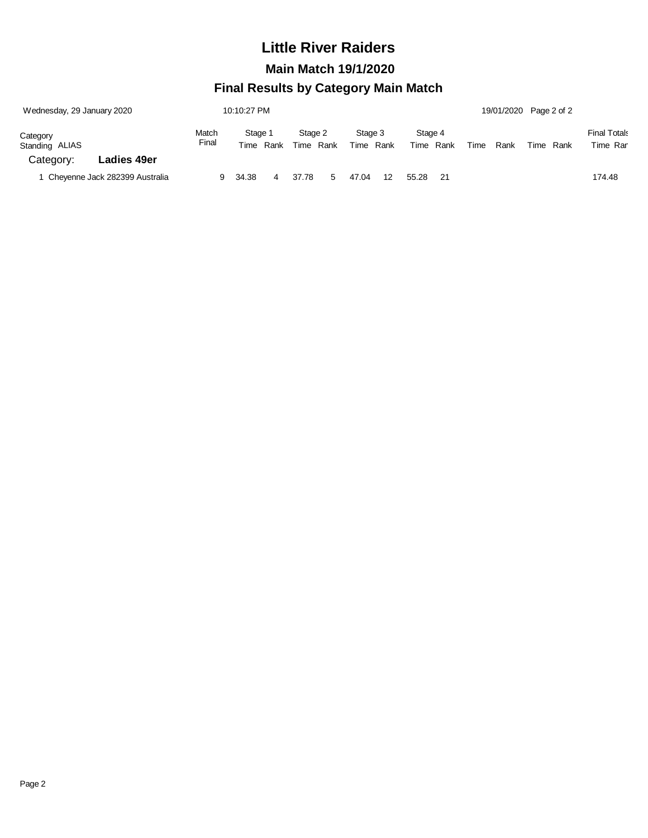## **Little River Raiders**

 **Main Match 19/1/2020**

### **Final Results by Category Main Match**

| Wednesday, 29 January 2020     |                    | 10:10:27 PM    |                      |  |                      |  |                         |    |                         |    |      | 19/01/2020 Page 2 of 2 |      |      |                                 |
|--------------------------------|--------------------|----------------|----------------------|--|----------------------|--|-------------------------|----|-------------------------|----|------|------------------------|------|------|---------------------------------|
| Category<br>Standing ALIAS     |                    | Match<br>Final | Stage 1<br>Time Rank |  | Stage 2<br>Time Rank |  | Stage 3<br>Time<br>Rank |    | Stage 4<br>Time<br>Rank |    | Time | Rank                   | Time | Rank | <b>Final Totals</b><br>Time Ran |
| Category:                      | <b>Ladies 49er</b> |                |                      |  |                      |  |                         |    |                         |    |      |                        |      |      |                                 |
| Cheyenne Jack 282399 Australia |                    | 9              | 34.38<br>4           |  | 37.78                |  | 47.04                   | 12 | 55.28                   | 21 |      |                        |      |      | 174.48                          |